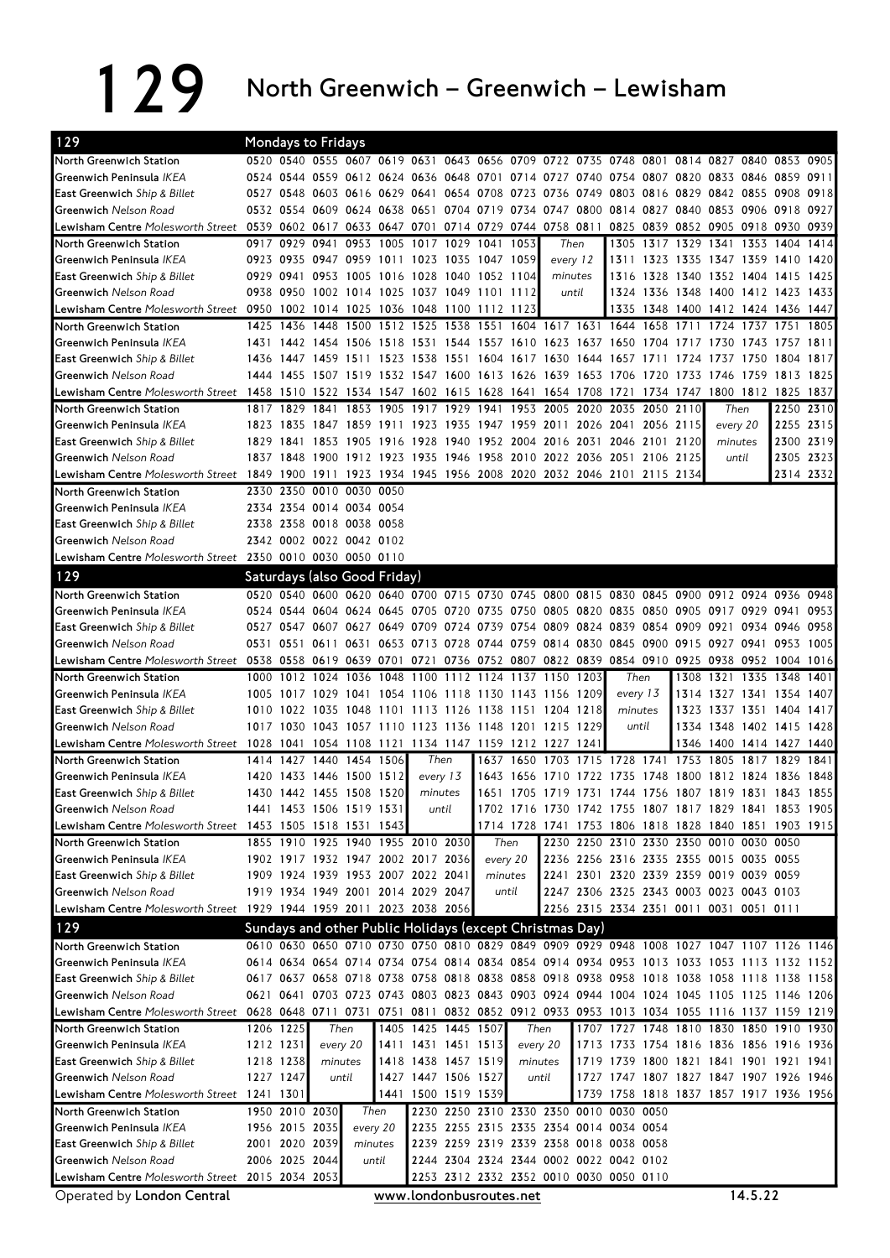129 North Greenwich – Greenwich – Lewisham

| 129                                                                                                                         |           |                | <b>Mondays to Fridays</b>                                                                 |                |                |                     |                |          |           |                                                                                    |       |           |                |                                         |                     |       |                          |           |
|-----------------------------------------------------------------------------------------------------------------------------|-----------|----------------|-------------------------------------------------------------------------------------------|----------------|----------------|---------------------|----------------|----------|-----------|------------------------------------------------------------------------------------|-------|-----------|----------------|-----------------------------------------|---------------------|-------|--------------------------|-----------|
| North Greenwich Station                                                                                                     |           |                | 0520 0540 0555 0607 0619 0631 0643 0656 0709 0722 0735 0748 0801 0814 0827 0840 0853 0905 |                |                |                     |                |          |           |                                                                                    |       |           |                |                                         |                     |       |                          |           |
| Greenwich Peninsula <i>IKEA</i>                                                                                             |           |                | 0524 0544 0559 0612 0624 0636 0648 0701 0714 0727 0740 0754 0807 0820 0833 0846 0859 0911 |                |                |                     |                |          |           |                                                                                    |       |           |                |                                         |                     |       |                          |           |
| East Greenwich Ship & Billet                                                                                                |           |                | 0527 0548 0603 0616 0629 0641 0654 0708 0723                                              |                |                |                     |                |          |           | 0736 0749 0803 0816 0829 0842 0855 0908 0918                                       |       |           |                |                                         |                     |       |                          |           |
| Greenwich Nelson Road                                                                                                       |           |                | 0532 0554 0609 0624 0638 0651 0704 0719 0734 0747 0800 0814 0827 0840 0853 0906 0918 0927 |                |                |                     |                |          |           |                                                                                    |       |           |                |                                         |                     |       |                          |           |
| Lewisham Centre Molesworth Street 0539 0602 0617 0633 0647 0701 0714 0729 0744 0758 0811                                    |           |                |                                                                                           |                |                |                     |                |          |           |                                                                                    |       |           |                | 0825 0839 0852 0905 0918 0930           |                     |       |                          | 0939      |
| North Greenwich Station                                                                                                     |           |                | 0917 0929 0941 0953 1005                                                                  |                |                | 1017                | 1029 1041 1053 |          |           |                                                                                    | Then  | 1305      | 1317 1329      |                                         | 1341 1353           |       | 1404                     | 1414      |
| Greenwich Peninsula IKEA                                                                                                    |           |                | 0923 0935 0947 0959 1011 1023 1035 1047 1059                                              |                |                |                     |                |          |           | every 12                                                                           |       |           |                | 1311 1323 1335 1347 1359 1410 1420      |                     |       |                          |           |
| East Greenwich Ship & Billet                                                                                                |           |                | 0929 0941 0953 1005 1016 1028 1040 1052 1104                                              |                |                |                     |                |          |           | minutes                                                                            |       |           |                | 1316 1328 1340 1352 1404 1415 1425      |                     |       |                          |           |
| Greenwich Nelson Road                                                                                                       |           |                | 0938 0950 1002 1014 1025 1037 1049 1101 1112                                              |                |                |                     |                |          |           |                                                                                    | until |           |                | 1324 1336 1348 1400 1412 1423 1433      |                     |       |                          |           |
| Lewisham Centre <i>Molesworth Street</i> 0950 1002 1014 1025 1036 1048 1100 1112 1123                                       |           |                |                                                                                           |                |                |                     |                |          |           |                                                                                    |       |           |                | 1335 1348 1400 1412 1424 1436 1447      |                     |       |                          |           |
| North Greenwich Station                                                                                                     |           |                | 1425 1436 1448 1500 1512 1525 1538 1551 1604 1617 1631 1644 1658 1711                     |                |                |                     |                |          |           |                                                                                    |       |           |                |                                         |                     |       | 1724 1737 1751           | 1805      |
| Greenwich Peninsula IKEA                                                                                                    |           |                | 1431 1442 1454 1506 1518 1531 1544 1557 1610 1623 1637 1650 1704 1717 1730 1743 1757 1811 |                |                |                     |                |          |           |                                                                                    |       |           |                |                                         |                     |       |                          |           |
| East Greenwich Ship & Billet                                                                                                |           |                | 1436 1447 1459 1511 1523 1538 1551 1604 1617 1630 1644 1657 1711 1724                     |                |                |                     |                |          |           |                                                                                    |       |           |                |                                         | 1737 1750           |       | 1804 1817                |           |
| Greenwich Nelson Road                                                                                                       |           |                | 1444 1455 1507 1519 1532 1547 1600 1613 1626 1639 1653 1706 1720 1733 1746 1759 1813 1825 |                |                |                     |                |          |           |                                                                                    |       |           |                |                                         |                     |       |                          |           |
| Lewisham Centre Molesworth Street 1458 1510 1522 1534 1547 1602 1615 1628 1641                                              |           |                |                                                                                           |                |                |                     |                |          |           | 1654 1708 1721                                                                     |       |           |                | 1734 1747 1800 1812 1825 1837           |                     |       |                          |           |
| North Greenwich Station                                                                                                     |           |                | 1817 1829 1841 1853 1905 1917 1929                                                        |                |                |                     |                |          |           | 1941 1953 2005 2020 2035 2050 2110                                                 |       |           |                |                                         | Then                |       | 2250 2310                |           |
| Greenwich Peninsula IKEA                                                                                                    |           |                | 1823 1835 1847 1859 1911 1923 1935 1947 1959 2011 2026 2041 2056 2115                     |                |                |                     |                |          |           |                                                                                    |       |           |                |                                         | every 20            |       | 2255 2315                |           |
| East Greenwich Ship & Billet                                                                                                | 1829 1841 |                |                                                                                           | 1853 1905 1916 |                |                     |                |          |           | 1928 1940 1952 2004 2016 2031                                                      |       |           | 2046 2101 2120 |                                         | minutes             |       | 2300 2319                |           |
| Greenwich Nelson Road                                                                                                       |           |                | 1837 1848 1900 1912 1923 1935 1946 1958 2010 2022 2036 2051 2106 2125                     |                |                |                     |                |          |           |                                                                                    |       |           |                |                                         |                     | until |                          | 2305 2323 |
| 2134 2010 1215 2134 125 2134 1900 1911 1923 1934 1945 1956 2008 2020 2032 2046 2101 2115 2114                               |           |                |                                                                                           |                |                |                     |                |          |           |                                                                                    |       |           |                |                                         |                     |       | 2314 2332                |           |
| North Greenwich Station                                                                                                     |           |                | 2330 2350 0010 0030 0050                                                                  |                |                |                     |                |          |           |                                                                                    |       |           |                |                                         |                     |       |                          |           |
| Greenwich Peninsula IKEA                                                                                                    |           |                | 2334 2354 0014 0034 0054                                                                  |                |                |                     |                |          |           |                                                                                    |       |           |                |                                         |                     |       |                          |           |
| East Greenwich Ship & Billet                                                                                                |           |                | 2338 2358 0018 0038 0058                                                                  |                |                |                     |                |          |           |                                                                                    |       |           |                |                                         |                     |       |                          |           |
| Greenwich Nelson Road                                                                                                       |           |                | 2342 0002 0022 0042 0102                                                                  |                |                |                     |                |          |           |                                                                                    |       |           |                |                                         |                     |       |                          |           |
| Lewisham Centre Molesworth Street 2350 0010 0030 0050 0110                                                                  |           |                |                                                                                           |                |                |                     |                |          |           |                                                                                    |       |           |                |                                         |                     |       |                          |           |
|                                                                                                                             |           |                |                                                                                           |                |                |                     |                |          |           |                                                                                    |       |           |                |                                         |                     |       |                          |           |
| 129                                                                                                                         |           |                | Saturdays (also Good Friday)                                                              |                |                |                     |                |          |           |                                                                                    |       |           |                |                                         |                     |       |                          |           |
| North Greenwich Station                                                                                                     |           |                | 0520 0540 0600 0620 0640 0700 0715 0730 0745 0800 0815 0830 0845 0900                     |                |                |                     |                |          |           |                                                                                    |       |           |                |                                         |                     |       | 0912 0924 0936 0948      |           |
| Greenwich Peninsula IKEA                                                                                                    |           |                | 0524 0544 0604 0624 0645 0705 0720 0735 0750 0805 0820 0835 0850 0905 0917 0929 0941      |                |                |                     |                |          |           |                                                                                    |       |           |                |                                         |                     |       |                          | 0953      |
| East Greenwich Ship & Billet                                                                                                |           |                | 0527 0547 0607 0627 0649 0709 0724 0739 0754 0809 0824 0839 0854 0909 0921 0934 0946 0958 |                |                |                     |                |          |           |                                                                                    |       |           |                |                                         |                     |       |                          |           |
| Greenwich Nelson Road                                                                                                       |           |                | 0531 0551 0611 0631 0653 0713 0728 0744 0759 0814 0830 0845 0900 0915 0927 0941 0953 1005 |                |                |                     |                |          |           |                                                                                    |       |           |                |                                         |                     |       |                          |           |
| Lewisham Centre Molesworth Street 0538 0558 0619 0639 0701 0721 0736 0752 0807 0822 0839 0854 0910 0925 0938 0952 1004 1016 |           |                |                                                                                           |                |                |                     |                |          |           |                                                                                    |       |           |                |                                         |                     |       |                          |           |
|                                                                                                                             |           |                |                                                                                           |                |                |                     |                |          |           |                                                                                    |       |           |                |                                         |                     |       |                          |           |
| North Greenwich Station                                                                                                     |           |                | 1000 1012 1024 1036 1048 1100 1112 1124 1137 1150 1203                                    |                |                |                     |                |          |           |                                                                                    |       | Then      |                |                                         | 1308 1321 1335 1348 |       |                          | 1401      |
| Greenwich Peninsula IKEA                                                                                                    |           |                | 1005 1017 1029 1041 1054 1106 1118 1130 1143 1156 1209                                    |                |                |                     |                |          |           |                                                                                    |       |           | every 13       |                                         |                     |       | 1314 1327 1341 1354 1407 |           |
| East Greenwich Ship & Billet                                                                                                |           |                | 1010 1022 1035 1048 1101 1113 1126 1138 1151 1204 1218                                    |                |                |                     |                |          |           |                                                                                    |       | minutes   |                |                                         |                     |       | 1323 1337 1351 1404 1417 |           |
| Greenwich Nelson Road                                                                                                       |           |                | 1017 1030 1043 1057 1110 1123 1136 1148 1201 1215 1229                                    |                |                |                     |                |          |           |                                                                                    |       | until     |                |                                         |                     |       | 1334 1348 1402 1415 1428 |           |
| Lewisham Centre Molesworth Street 1028 1041 1054 1108 1121 1134 1147 1159 1212 1227 1241                                    |           |                |                                                                                           |                |                |                     |                |          |           |                                                                                    |       |           |                |                                         |                     |       | 1346 1400 1414 1427 1440 |           |
| North Greenwich Station                                                                                                     |           | 1414 1427      |                                                                                           |                | 1440 1454 1506 | Then                |                |          | 1637 1650 | 1703                                                                               |       | 1715 1728 | 1741 1753      |                                         | 1805 1817 1829      |       |                          | 1841      |
| Greenwich Peninsula IKEA                                                                                                    |           |                | 1420 1433 1446 1500 1512                                                                  |                |                | every 13            |                |          | 1643 1656 | 1710 1722 1735 1748 1800 1812 1824 1836 1848                                       |       |           |                |                                         |                     |       |                          |           |
| East Greenwich Ship & Billet                                                                                                |           |                | 1430 1442 1455 1508 1520                                                                  |                |                | minutes             |                |          |           | 1651 1705 1719 1731 1744 1756 1807 1819 1831 1843 1855                             |       |           |                |                                         |                     |       |                          |           |
| Greenwich Nelson Road                                                                                                       |           |                | 1441 1453 1506 1519 1531                                                                  |                |                | until               |                |          |           | 1702 1716 1730 1742 1755 1807 1817 1829 1841 1853 1905                             |       |           |                |                                         |                     |       |                          |           |
| Lewisham Centre Molesworth Street 1453 1505 1518 1531 1543                                                                  |           |                |                                                                                           |                |                |                     |                |          |           | 1714 1728 1741 1753 1806 1818 1828 1840 1851 1903 1915                             |       |           |                |                                         |                     |       |                          |           |
| North Greenwich Station                                                                                                     |           |                | 1855 1910 1925 1940 1955 2010 2030                                                        |                |                |                     |                | Then     |           |                                                                                    |       |           |                | 2230 2250 2310 2330 2350 0010 0030 0050 |                     |       |                          |           |
| Greenwich Peninsula IKEA                                                                                                    |           |                | 1902 1917 1932 1947 2002 2017 2036                                                        |                |                |                     |                | every 20 |           |                                                                                    |       |           |                | 2236 2256 2316 2335 2355 0015 0035 0055 |                     |       |                          |           |
| East Greenwich Ship & Billet                                                                                                |           |                | 1909 1924 1939 1953 2007 2022 2041                                                        |                |                |                     |                | minutes  |           |                                                                                    |       |           |                | 2241 2301 2320 2339 2359 0019 0039 0059 |                     |       |                          |           |
| Greenwich Nelson Road                                                                                                       |           |                | 1919 1934 1949 2001 2014 2029 2047                                                        |                |                |                     |                |          | until     |                                                                                    |       |           |                | 2247 2306 2325 2343 0003 0023 0043 0103 |                     |       |                          |           |
| Lewisham Centre Molesworth Street 1929 1944 1959 2011 2023 2038 2056                                                        |           |                |                                                                                           |                |                |                     |                |          |           |                                                                                    |       |           |                | 2256 2315 2334 2351 0011 0031 0051 0111 |                     |       |                          |           |
| 129                                                                                                                         |           |                | Sundays and other Public Holidays (except Christmas Day)                                  |                |                |                     |                |          |           |                                                                                    |       |           |                |                                         |                     |       |                          |           |
| North Greenwich Station                                                                                                     |           |                | 0610 0630 0650 0710 0730 0750 0810 0829 0849 0909 0929 0948 1008 1027 1047 1107 1126 1146 |                |                |                     |                |          |           |                                                                                    |       |           |                |                                         |                     |       |                          |           |
| Greenwich Peninsula IKEA                                                                                                    |           |                | 0614 0634 0654 0714 0734 0754 0814 0834 0854 0914 0934 0953 1013 1033 1053 1113 1132 1152 |                |                |                     |                |          |           |                                                                                    |       |           |                |                                         |                     |       |                          |           |
| East Greenwich Ship & Billet                                                                                                |           |                | 0617 0637 0658 0718 0738 0758 0818 0838 0858 0918 0938 0958 1018 1038 1058 1118 1138 1158 |                |                |                     |                |          |           |                                                                                    |       |           |                |                                         |                     |       |                          |           |
| Greenwich Nelson Road                                                                                                       |           |                | 0621 0641 0703 0723 0743 0803 0823 0843 0903 0924 0944 1004 1024 1045 1105 1125 1146 1206 |                |                |                     |                |          |           |                                                                                    |       |           |                |                                         |                     |       |                          |           |
| Lewisham Centre Molesworth Street 0628 0648 0711 0731 0751 0811 0832 0852 0912 0933 0953 1013 1034 1055 1116 1137 1159 1219 |           |                |                                                                                           |                |                |                     |                |          |           |                                                                                    |       |           |                |                                         |                     |       |                          |           |
| North Greenwich Station                                                                                                     |           | 1206 1225      | Then                                                                                      |                |                | 1405 1425 1445 1507 |                |          |           | Then                                                                               |       |           |                | 1707 1727 1748 1810 1830 1850 1910 1930 |                     |       |                          |           |
| Greenwich Peninsula IKEA                                                                                                    | 1212 1231 |                |                                                                                           | every 20       |                | 1411 1431 1451 1513 |                |          |           | every 20                                                                           |       |           |                | 1713 1733 1754 1816 1836 1856 1916 1936 |                     |       |                          |           |
| East Greenwich Ship & Billet                                                                                                |           | 1218 1238      | minutes                                                                                   |                |                | 1418 1438 1457 1519 |                |          |           | minutes                                                                            |       |           |                | 1719 1739 1800 1821 1841 1901 1921 1941 |                     |       |                          |           |
| Greenwich Nelson Road                                                                                                       |           | 1227 1247      |                                                                                           | until          |                | 1427 1447 1506 1527 |                |          |           | until                                                                              |       |           |                | 1727 1747 1807 1827 1847 1907 1926 1946 |                     |       |                          |           |
| Lewisham Centre Molesworth Street 1241 1301                                                                                 |           |                |                                                                                           |                |                | 1441 1500 1519 1539 |                |          |           |                                                                                    |       |           |                | 1739 1758 1818 1837 1857 1917 1936 1956 |                     |       |                          |           |
| North Greenwich Station                                                                                                     |           |                | 1950 2010 2030                                                                            |                | Then           |                     |                |          |           | 2230 2250 2310 2330 2350 0010 0030 0050                                            |       |           |                |                                         |                     |       |                          |           |
| Greenwich Peninsula IKEA                                                                                                    |           | 1956 2015 2035 |                                                                                           | every 20       |                |                     |                |          |           | 2235 2255 2315 2335 2354 0014 0034 0054                                            |       |           |                |                                         |                     |       |                          |           |
| East Greenwich Ship & Billet                                                                                                |           | 2001 2020 2039 |                                                                                           | minutes        |                |                     |                |          |           | 2239 2259 2319 2339 2358 0018 0038 0058                                            |       |           |                |                                         |                     |       |                          |           |
| Greenwich Nelson Road<br>Lewisham Centre Molesworth Street 2015 2034 2053                                                   |           |                | 2006 2025 2044                                                                            |                | until          |                     |                |          |           | 2244 2304 2324 2344 0002 0022 0042 0102<br>2253 2312 2332 2352 0010 0030 0050 0110 |       |           |                |                                         |                     |       |                          |           |

Operated by London Central www.londonbusroutes.net 14.5.22